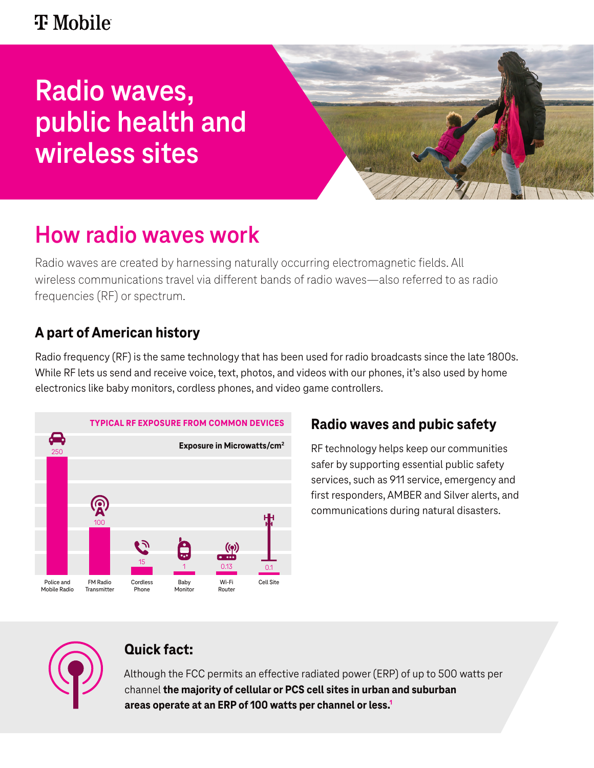# **T** Mobile

# **Radio waves, public health and wireless sites**

# **How radio waves work**

Radio waves are created by harnessing naturally occurring electromagnetic fields. All wireless communications travel via different bands of radio waves—also referred to as radio frequencies (RF) or spectrum.

# **A part of American history**

Radio frequency (RF) is the same technology that has been used for radio broadcasts since the late 1800s. While RF lets us send and receive voice, text, photos, and videos with our phones, it's also used by home electronics like baby monitors, cordless phones, and video game controllers.



## **Radio waves and pubic safety**

RF technology helps keep our communities safer by supporting essential public safety services, such as 911 service, emergency and first responders, AMBER and Silver alerts, and communications during natural disasters.



## **Quick fact:**

Although the FCC permits an effective radiated power (ERP) of up to 500 watts per channel **the majority of cellular or PCS cell sites in urban and suburban areas operate at an ERP of 100 watts per channel or less.1**